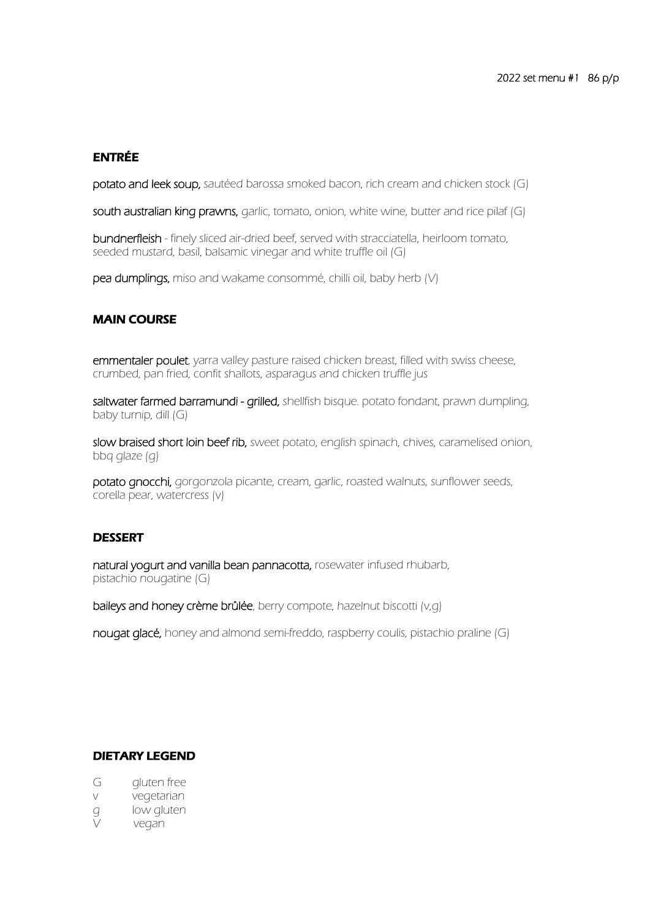# ENTRÉE

potato and leek soup, sautéed barossa smoked bacon, rich cream and chicken stock (G)

south australian king prawns, garlic, tomato, onion, white wine, butter and rice pilaf (G)

bundnerfleish - finely sliced air-dried beef, served with stracciatella, heirloom tomato, seeded mustard, basil, balsamic vinegar and white truffle oil (G)

pea dumplings, miso and wakame consommé, chilli oil, baby herb (V)

### MAIN COURSE

emmentaler poulet, yarra valley pasture raised chicken breast, filled with swiss cheese, crumbed, pan fried, confit shallots, asparagus and chicken truffle jus

saltwater farmed barramundi - grilled, shellfish bisque. potato fondant, prawn dumpling, baby turnip, dill (G)

slow braised short loin beef rib, sweet potato, english spinach, chives, caramelised onion, bbq glaze (g)

potato gnocchi, gorgonzola picante, cream, garlic, roasted walnuts, sunflower seeds, corella pear, watercress (v)

### **DESSERT**

natural yogurt and vanilla bean pannacotta, rosewater infused rhubarb, pistachio nougatine (G)

baileys and honey crème brûlée, berry compote, hazelnut biscotti (v,q)

nougat glacé, honey and almond semi-freddo, raspberry coulis, pistachio praline (G)

#### DIETARY LEGEND

- G aluten free
- v vegetarian
- g low gluten<br>V yegan
- vegan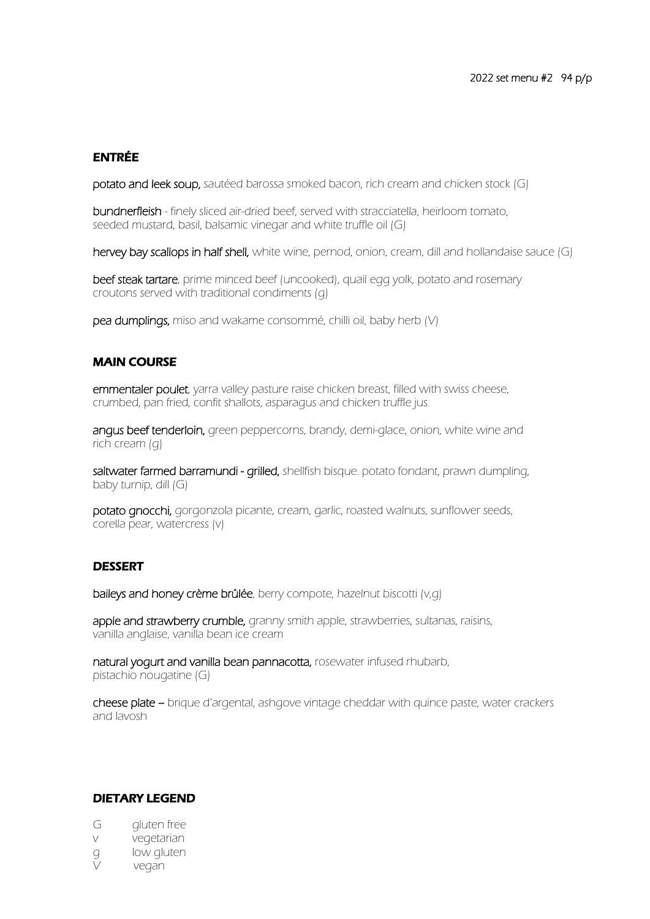## ENTRÉE

potato and leek soup, sautéed barossa smoked bacon, rich cream and chicken stock (G)

bundnerfleish - finely sliced air-dried beef, served with stracciatella, heirloom tomato, seeded mustard, basil, balsamic vinegar and white truffle oil (G)

hervey bay scallops in half shell, white wine, pernod, onion, cream, dill and hollandaise sauce (G)

beef steak tartare, prime minced beef (uncooked), quail egg yolk, potato and rosemary croutons served with traditional condiments (g)

pea dumplings, miso and wakame consommé, chilli oil, baby herb (V)

#### MAIN COURSE

emmentaler poulet, yarra valley pasture raise chicken breast, filled with swiss cheese, crumbed, pan fried, confit shallots, asparagus and chicken truffle jus

angus beef tenderloin, green peppercorns, brandy, demi-glace, onion, white wine and rich cream (g)

saltwater farmed barramundi - grilled, shellfish bisque. potato fondant, prawn dumpling, baby turnip, dill (G)

potato gnocchi, gorgonzola picante, cream, garlic, roasted walnuts, sunflower seeds, corella pear, watercress (v)

### DESSERT

baileys and honey crème brûlée, berry compote, hazelnut biscotti (v,q)

apple and strawberry crumble, granny smith apple, strawberries, sultanas, raisins, vanilla anglaise, vanilla bean ice cream

natural yogurt and vanilla bean pannacotta, rosewater infused rhubarb, pistachio nougatine (G)

cheese plate – brique d'argental, ashgove vintage cheddar with quince paste, water crackers and lavosh

#### DIETARY LEGEND

- G gluten free
- v vegetarian
- g low gluten
- V vegan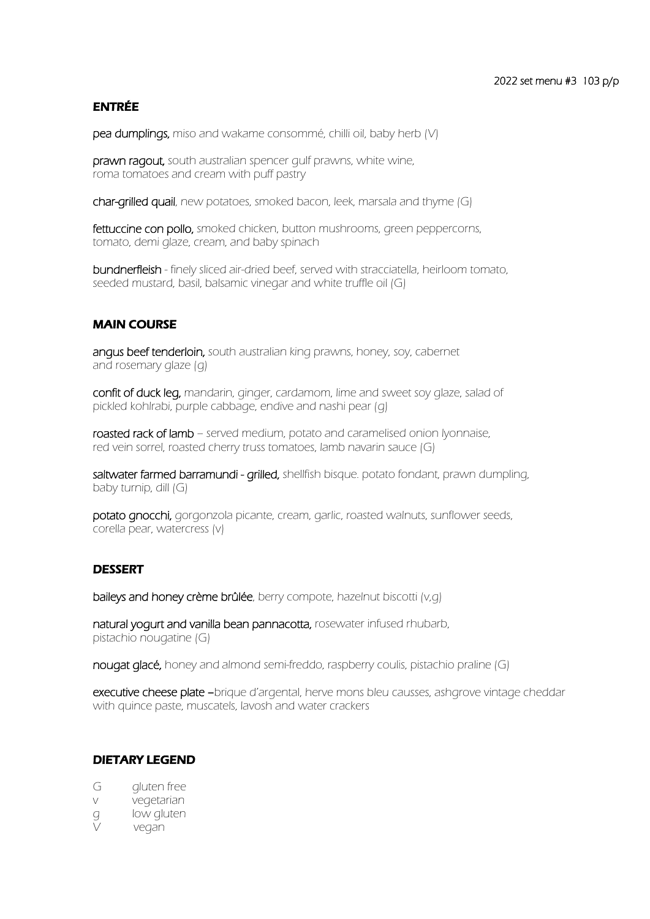# ENTRÉE

pea dumplings, miso and wakame consommé, chilli oil, baby herb (V)

prawn ragout, south australian spencer qulf prawns, white wine, roma tomatoes and cream with puff pastry

char-grilled quail, new potatoes, smoked bacon, leek, marsala and thyme (G)

fettuccine con pollo, smoked chicken, button mushrooms, green peppercorns, tomato, demi glaze, cream, and baby spinach

bundnerfleish - finely sliced air-dried beef, served with stracciatella, heirloom tomato, seeded mustard, basil, balsamic vinegar and white truffle oil (G)

### MAIN COURSE

angus beef tenderloin, south australian king prawns, honey, soy, cabernet and rosemary glaze (g)

confit of duck leg, mandarin, ginger, cardamom, lime and sweet soy glaze, salad of pickled kohlrabi, purple cabbage, endive and nashi pear (g)

roasted rack of lamb - served medium, potato and caramelised onion lyonnaise, red vein sorrel, roasted cherry truss tomatoes, lamb navarin sauce (G)

saltwater farmed barramundi - grilled, shellfish bisque. potato fondant, prawn dumpling, baby turnip, dill (G)

potato gnocchi, gorgonzola picante, cream, garlic, roasted walnuts, sunflower seeds, corella pear, watercress (v)

### **DESSERT**

baileys and honey crème brûlée, berry compote, hazelnut biscotti (v,q)

natural yogurt and vanilla bean pannacotta, rosewater infused rhubarb, pistachio nougatine (G)

nougat glacé, honey and almond semi-freddo, raspberry coulis, pistachio praline (G)

executive cheese plate –brique d'argental, herve mons bleu causses, ashgrove vintage cheddar with quince paste, muscatels, lavosh and water crackers

### DIETARY LEGEND

- G aluten free
- v vegetarian
- g low gluten
- V vegan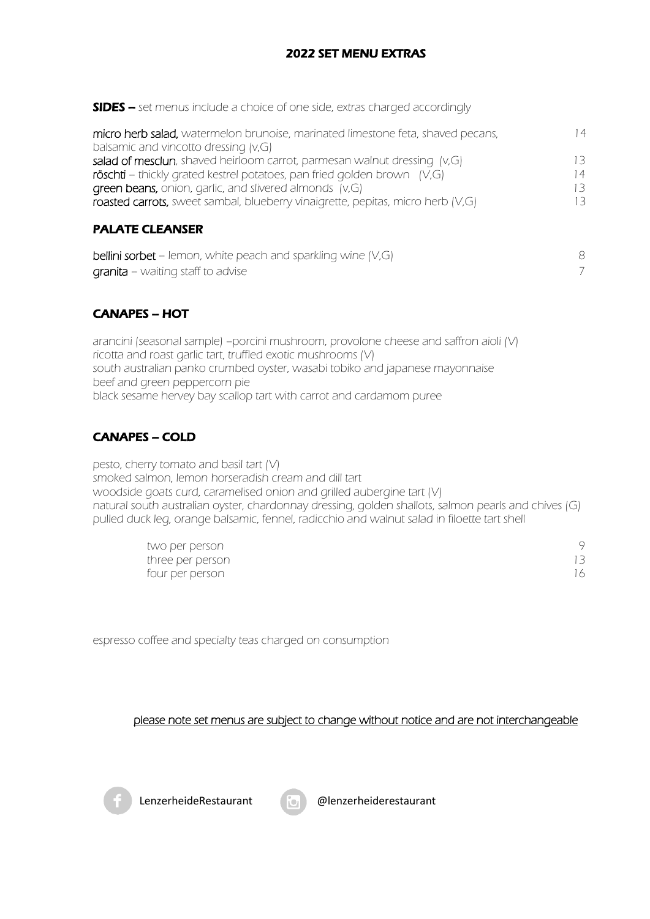# 2022 SET MENU EXTRAS

SIDES – set menus include a choice of one side, extras charged accordingly

| micro herb salad, watermelon brunoise, marinated limestone feta, shaved pecans, | $\overline{4}$ |
|---------------------------------------------------------------------------------|----------------|
| balsamic and vincotto dressing (v,G)                                            |                |
| salad of mesclun, shaved heirloom carrot, parmesan walnut dressing (v,G)        | 13             |
| röschti - thickly grated kestrel potatoes, pan fried golden brown (V,G)         | ' 4            |
| green beans, onion, garlic, and slivered almonds (v,G)                          |                |
| roasted carrots, sweet sambal, blueberry vinaigrette, pepitas, micro herb (V,G) | $\prec$        |
|                                                                                 |                |

# PALATE CLEANSER

| <b>bellini sorbet</b> – lemon, white peach and sparkling wine $(V,G)$ |  |
|-----------------------------------------------------------------------|--|
| <b>granita</b> – waiting staff to advise                              |  |

# CANAPES – HOT

arancini (seasonal sample) –porcini mushroom, provolone cheese and saffron aioli (V) ricotta and roast garlic tart, truffled exotic mushrooms (V) south australian panko crumbed oyster, wasabi tobiko and japanese mayonnaise beef and green peppercorn pie black sesame hervey bay scallop tart with carrot and cardamom puree

# CANAPES – COLD

pesto, cherry tomato and basil tart (V) smoked salmon, lemon horseradish cream and dill tart woodside goats curd, caramelised onion and grilled aubergine tart (V) natural south australian oyster, chardonnay dressing, golden shallots, salmon pearls and chives (G) pulled duck leg, orange balsamic, fennel, radicchio and walnut salad in filoette tart shell

| two per person   |    |
|------------------|----|
| three per person |    |
| four per person  | 16 |

espresso coffee and specialty teas charged on consumption

### please note set menus are subject to change without notice and are not interchangeable



LenzerheideRestaurant **als Die Mehreiderestaurant**